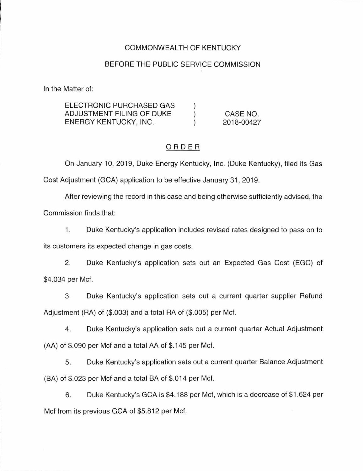# COMMONWEALTH OF KENTUCKY

#### BEFORE THE PUBLIC SERVICE COMMISSION

In the Matter of:

| ELECTRONIC PURCHASED GAS  |            |
|---------------------------|------------|
| ADJUSTMENT FILING OF DUKE | CASE NO.   |
| ENERGY KENTUCKY, INC.     | 2018-00427 |

# ORDER

On January 10, 2019, Duke Energy Kentucky, Inc. (Duke Kentucky), filed its Gas Cost Adjustment (GCA) application to be effective January 31 , 2019.

After reviewing the record in this case and being otherwise sufficiently advised, the

Commission finds that:

1. Duke Kentucky's application includes revised rates designed to pass on to

its customers its expected change in gas costs.

2. Duke Kentucky's application sets out an Expected Gas Cost (EGC) of \$4.034 per Met.

3. Duke Kentucky's application sets out a current quarter supplier Refund Adjustment (RA) of (\$.003) and a total RA of (\$.005) per Met.

4. Duke Kentucky's application sets out a current quarter Actual Adjustment (AA) of \$.090 per Met and a total AA of \$.145 per Met.

5. Duke Kentucky's application sets out a current quarter Balance Adjustment (BA) of \$.023 per Met and a total BA of \$.014 per Met.

6. Duke Kentucky's GCA is \$4.188 per Met, which is a decrease of \$1 .624 per Met from its previous GCA of \$5.812 per Met.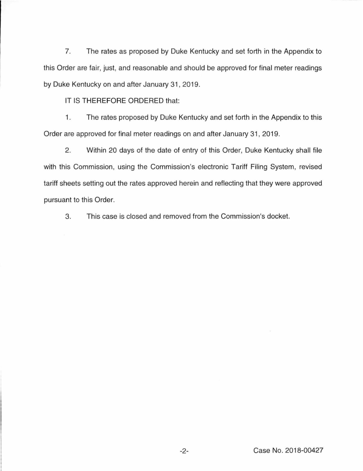7. The rates as proposed by Duke Kentucky and set forth in the Appendix to this Order are fair, just, and reasonable and should be approved for final meter readings by Duke Kentucky on and after January 31, 2019.

IT IS THEREFORE ORDERED that:

1. The rates proposed by Duke Kentucky and set forth in the Appendix to this Order are approved for final meter readings on and after January 31 , 2019.

2. Within 20 days of the date of entry of this Order, Duke Kentucky shall file with this Commission, using the Commission's electronic Tariff Filing System, revised tariff sheets setting out the rates approved herein and reflecting that they were approved pursuant to this Order.

3. This case is closed and removed from the Commission's docket.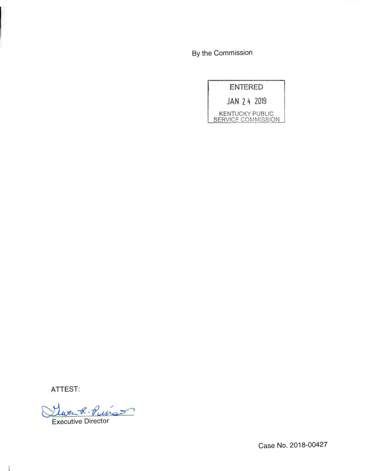By the Commission

| <b>ENTERED</b>                               |  |  |  |  |
|----------------------------------------------|--|--|--|--|
| JAN 24 2019                                  |  |  |  |  |
| <b>KENTUCKY PUBLIC</b><br>SERVICE COMMISSION |  |  |  |  |

ATTEST:

Claren R Puis

Executive Director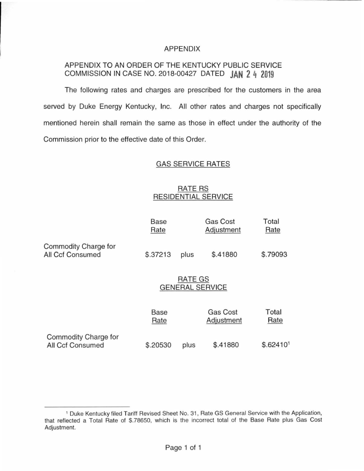### APPENDIX

# APPENDIX TO AN ORDER OF THE KENTUCKY PUBLIC SERVICE COMMISSION IN CASE NO. 2018-00427 DATED **JAN 2 4 2019**

The following rates and charges are prescribed for the customers in the area served by Duke Energy Kentucky, Inc. All other rates and charges not specifically mentioned herein shall remain the same as those in effect under the authority of the Commission prior to the effective date of this Order.

# GAS SERVICE RATES

# RATE RS RESIDENTIAL SERVICE

|                                                 | Base<br>Rate                      |                  | <b>Gas Cost</b><br>Adjustment | Total<br>Rate         |  |
|-------------------------------------------------|-----------------------------------|------------------|-------------------------------|-----------------------|--|
| Commodity Charge for<br><b>All Ccf Consumed</b> | \$.37213                          | \$.41880<br>plus |                               | \$.79093              |  |
|                                                 | RATE GS<br><b>GENERAL SERVICE</b> |                  |                               |                       |  |
|                                                 | Base<br>Rate                      |                  | <b>Gas Cost</b><br>Adjustment | Total<br>Rate         |  |
| Commodity Charge for<br>All Ccf Consumed        | \$.20530                          | plus             | \$.41880                      | \$.62410 <sup>1</sup> |  |

<sup>&</sup>lt;sup>1</sup> Duke Kentucky filed Tariff Revised Sheet No. 31, Rate GS General Service with the Application, that reflected a Total Rate of \$.78650, which is the incorrect total of the Base Rate plus Gas Cost Adjustment.